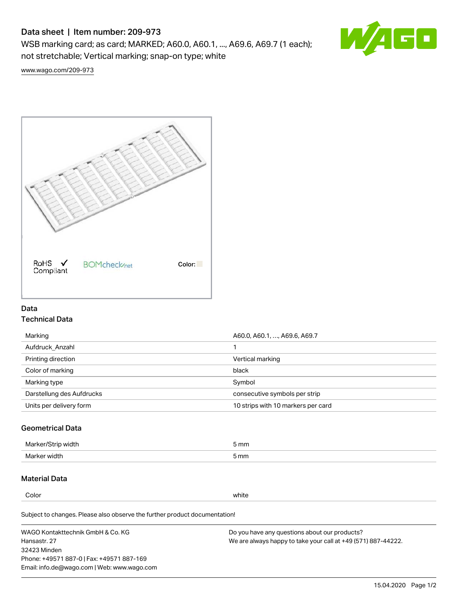# Data sheet | Item number: 209-973

WSB marking card; as card; MARKED; A60.0, A60.1, ..., A69.6, A69.7 (1 each); not stretchable; Vertical marking; snap-on type; white



[www.wago.com/209-973](http://www.wago.com/209-973)



## Data Technical Data

| Marking                   | A60.0, A60.1, , A69.6, A69.7       |
|---------------------------|------------------------------------|
| Aufdruck Anzahl           |                                    |
| Printing direction        | Vertical marking                   |
| Color of marking          | black                              |
| Marking type              | Symbol                             |
| Darstellung des Aufdrucks | consecutive symbols per strip      |
| Units per delivery form   | 10 strips with 10 markers per card |

## Geometrical Data

| width        | i mm |
|--------------|------|
| Marker/      | -    |
| Marker width | 5 mm |

# Material Data

Color white

Subject to changes. Please also observe the further product documentation!

WAGO Kontakttechnik GmbH & Co. KG Hansastr. 27 32423 Minden Phone: +49571 887-0 | Fax: +49571 887-169 Email: info.de@wago.com | Web: www.wago.com Do you have any questions about our products? We are always happy to take your call at +49 (571) 887-44222.